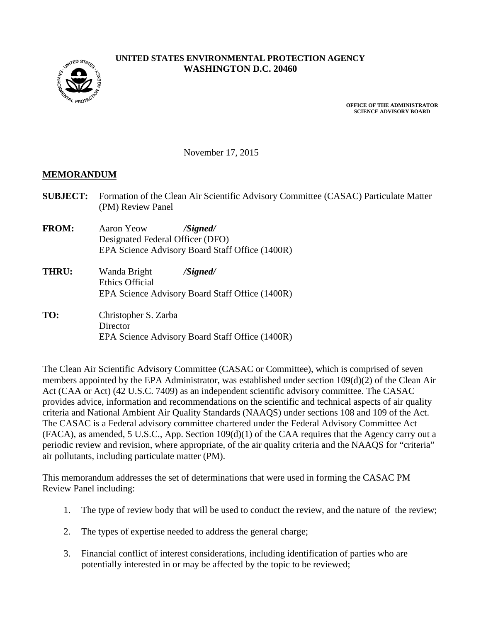**MUTED STATE** 

## **UNITED STATES ENVIRONMENTAL PROTECTION AGENCY WASHINGTON D.C. 20460**

**OFFICE OF THE ADMINISTRATOR SCIENCE ADVISORY BOARD**

November 17, 2015

#### **MEMORANDUM**

- **SUBJECT:** Formation of the Clean Air Scientific Advisory Committee (CASAC) Particulate Matter (PM) Review Panel
- **FROM:** Aaron Yeow */Signed/* Designated Federal Officer (DFO) EPA Science Advisory Board Staff Office (1400R)
- **THRU:** Wanda Bright */Signed/* Ethics Official EPA Science Advisory Board Staff Office (1400R)
- **TO:** Christopher S. Zarba **Director** EPA Science Advisory Board Staff Office (1400R)

The Clean Air Scientific Advisory Committee (CASAC or Committee), which is comprised of seven members appointed by the EPA Administrator, was established under section 109(d)(2) of the Clean Air Act (CAA or Act) (42 U.S.C. 7409) as an independent scientific advisory committee. The CASAC provides advice, information and recommendations on the scientific and technical aspects of air quality criteria and National Ambient Air Quality Standards (NAAQS) under sections 108 and 109 of the Act. The CASAC is a Federal advisory committee chartered under the Federal Advisory Committee Act (FACA), as amended, 5 U.S.C., App. Section 109(d)(1) of the CAA requires that the Agency carry out a periodic review and revision, where appropriate, of the air quality criteria and the NAAQS for "criteria" air pollutants, including particulate matter (PM).

This memorandum addresses the set of determinations that were used in forming the CASAC PM Review Panel including:

- 1. The type of review body that will be used to conduct the review, and the nature of the review;
- 2. The types of expertise needed to address the general charge;
- 3. Financial conflict of interest considerations, including identification of parties who are potentially interested in or may be affected by the topic to be reviewed;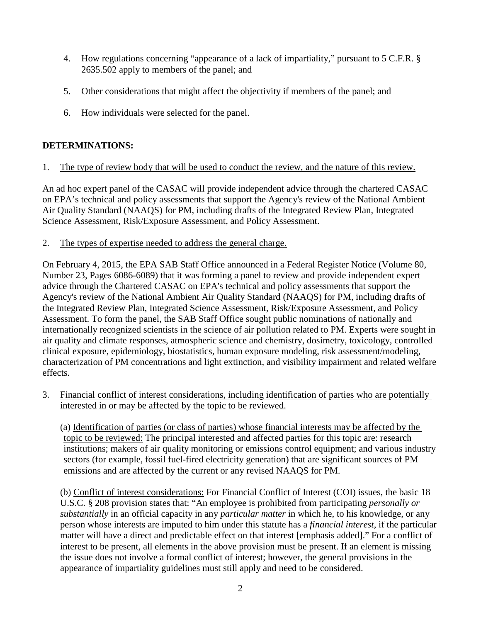- 4. How regulations concerning "appearance of a lack of impartiality," pursuant to 5 C.F.R. § 2635.502 apply to members of the panel; and
- 5. Other considerations that might affect the objectivity if members of the panel; and
- 6. How individuals were selected for the panel.

# **DETERMINATIONS:**

1. The type of review body that will be used to conduct the review, and the nature of this review.

An ad hoc expert panel of the CASAC will provide independent advice through the chartered CASAC on EPA's technical and policy assessments that support the Agency's review of the National Ambient Air Quality Standard (NAAQS) for PM, including drafts of the Integrated Review Plan, Integrated Science Assessment, Risk/Exposure Assessment, and Policy Assessment.

2. The types of expertise needed to address the general charge.

On February 4, 2015, the EPA SAB Staff Office announced in a Federal Register Notice (Volume 80, Number 23, Pages 6086-6089) that it was forming a panel to review and provide independent expert advice through the Chartered CASAC on EPA's technical and policy assessments that support the Agency's review of the National Ambient Air Quality Standard (NAAQS) for PM, including drafts of the Integrated Review Plan, Integrated Science Assessment, Risk/Exposure Assessment, and Policy Assessment. To form the panel, the SAB Staff Office sought public nominations of nationally and internationally recognized scientists in the science of air pollution related to PM. Experts were sought in air quality and climate responses, atmospheric science and chemistry, dosimetry, toxicology, controlled clinical exposure, epidemiology, biostatistics, human exposure modeling, risk assessment/modeling, characterization of PM concentrations and light extinction, and visibility impairment and related welfare effects.

3. Financial conflict of interest considerations, including identification of parties who are potentially interested in or may be affected by the topic to be reviewed.

(a) Identification of parties (or class of parties) whose financial interests may be affected by the topic to be reviewed: The principal interested and affected parties for this topic are: research institutions; makers of air quality monitoring or emissions control equipment; and various industry sectors (for example, fossil fuel-fired electricity generation) that are significant sources of PM emissions and are affected by the current or any revised NAAQS for PM.

(b) Conflict of interest considerations: For Financial Conflict of Interest (COI) issues, the basic 18 U.S.C. § 208 provision states that: "An employee is prohibited from participating *personally or substantially* in an official capacity in any *particular matter* in which he, to his knowledge, or any person whose interests are imputed to him under this statute has a *financial interest*, if the particular matter will have a direct and predictable effect on that interest [emphasis added]." For a conflict of interest to be present, all elements in the above provision must be present. If an element is missing the issue does not involve a formal conflict of interest; however, the general provisions in the appearance of impartiality guidelines must still apply and need to be considered.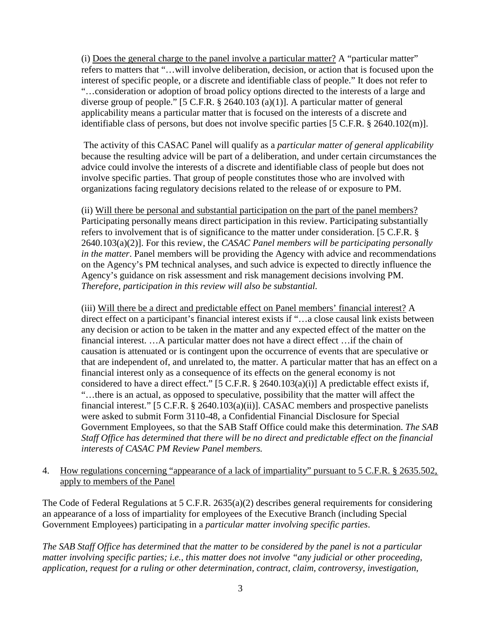(i) Does the general charge to the panel involve a particular matter? A "particular matter" refers to matters that "…will involve deliberation, decision, or action that is focused upon the interest of specific people, or a discrete and identifiable class of people." It does not refer to "…consideration or adoption of broad policy options directed to the interests of a large and diverse group of people." [5 C.F.R. § 2640.103 (a)(1)]. A particular matter of general applicability means a particular matter that is focused on the interests of a discrete and identifiable class of persons, but does not involve specific parties [5 C.F.R. § 2640.102(m)].

The activity of this CASAC Panel will qualify as a *particular matter of general applicability* because the resulting advice will be part of a deliberation, and under certain circumstances the advice could involve the interests of a discrete and identifiable class of people but does not involve specific parties. That group of people constitutes those who are involved with organizations facing regulatory decisions related to the release of or exposure to PM.

(ii) Will there be personal and substantial participation on the part of the panel members? Participating personally means direct participation in this review. Participating substantially refers to involvement that is of significance to the matter under consideration. [5 C.F.R. § 2640.103(a)(2)]. For this review, the *CASAC Panel members will be participating personally in the matter*. Panel members will be providing the Agency with advice and recommendations on the Agency's PM technical analyses, and such advice is expected to directly influence the Agency's guidance on risk assessment and risk management decisions involving PM. *Therefore, participation in this review will also be substantial.*

(iii) Will there be a direct and predictable effect on Panel members' financial interest? A direct effect on a participant's financial interest exists if "...a close causal link exists between any decision or action to be taken in the matter and any expected effect of the matter on the financial interest. …A particular matter does not have a direct effect …if the chain of causation is attenuated or is contingent upon the occurrence of events that are speculative or that are independent of, and unrelated to, the matter. A particular matter that has an effect on a financial interest only as a consequence of its effects on the general economy is not considered to have a direct effect." [5 C.F.R. § 2640.103(a)(i)] A predictable effect exists if, "…there is an actual, as opposed to speculative, possibility that the matter will affect the financial interest." [5 C.F.R. § 2640.103(a)(ii)]. CASAC members and prospective panelists were asked to submit Form 3110-48, a Confidential Financial Disclosure for Special Government Employees, so that the SAB Staff Office could make this determination. *The SAB Staff Office has determined that there will be no direct and predictable effect on the financial interests of CASAC PM Review Panel members.*

4. How regulations concerning "appearance of a lack of impartiality" pursuant to 5 C.F.R. § 2635.502, apply to members of the Panel

The Code of Federal Regulations at 5 C.F.R. 2635(a)(2) describes general requirements for considering an appearance of a loss of impartiality for employees of the Executive Branch (including Special Government Employees) participating in a *particular matter involving specific parties*.

*The SAB Staff Office has determined that the matter to be considered by the panel is not a particular matter involving specific parties; i.e., this matter does not involve "any judicial or other proceeding, application, request for a ruling or other determination, contract, claim, controversy, investigation,*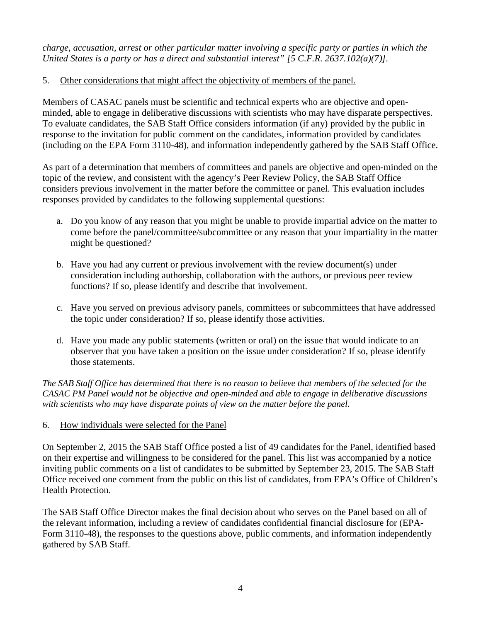*charge, accusation, arrest or other particular matter involving a specific party or parties in which the United States is a party or has a direct and substantial interest" [5 C.F.R. 2637.102(a)(7)].*

## 5. Other considerations that might affect the objectivity of members of the panel.

Members of CASAC panels must be scientific and technical experts who are objective and openminded, able to engage in deliberative discussions with scientists who may have disparate perspectives. To evaluate candidates, the SAB Staff Office considers information (if any) provided by the public in response to the invitation for public comment on the candidates, information provided by candidates (including on the EPA Form 3110-48), and information independently gathered by the SAB Staff Office.

As part of a determination that members of committees and panels are objective and open-minded on the topic of the review, and consistent with the agency's Peer Review Policy, the SAB Staff Office considers previous involvement in the matter before the committee or panel. This evaluation includes responses provided by candidates to the following supplemental questions:

- a. Do you know of any reason that you might be unable to provide impartial advice on the matter to come before the panel/committee/subcommittee or any reason that your impartiality in the matter might be questioned?
- b. Have you had any current or previous involvement with the review document(s) under consideration including authorship, collaboration with the authors, or previous peer review functions? If so, please identify and describe that involvement.
- c. Have you served on previous advisory panels, committees or subcommittees that have addressed the topic under consideration? If so, please identify those activities.
- d. Have you made any public statements (written or oral) on the issue that would indicate to an observer that you have taken a position on the issue under consideration? If so, please identify those statements.

*The SAB Staff Office has determined that there is no reason to believe that members of the selected for the CASAC PM Panel would not be objective and open-minded and able to engage in deliberative discussions with scientists who may have disparate points of view on the matter before the panel.*

## 6. How individuals were selected for the Panel

On September 2, 2015 the SAB Staff Office posted a list of 49 candidates for the Panel, identified based on their expertise and willingness to be considered for the panel. This list was accompanied by a notice inviting public comments on a list of candidates to be submitted by September 23, 2015. The SAB Staff Office received one comment from the public on this list of candidates, from EPA's Office of Children's Health Protection.

The SAB Staff Office Director makes the final decision about who serves on the Panel based on all of the relevant information, including a review of candidates confidential financial disclosure for (EPA-Form 3110-48), the responses to the questions above, public comments, and information independently gathered by SAB Staff.